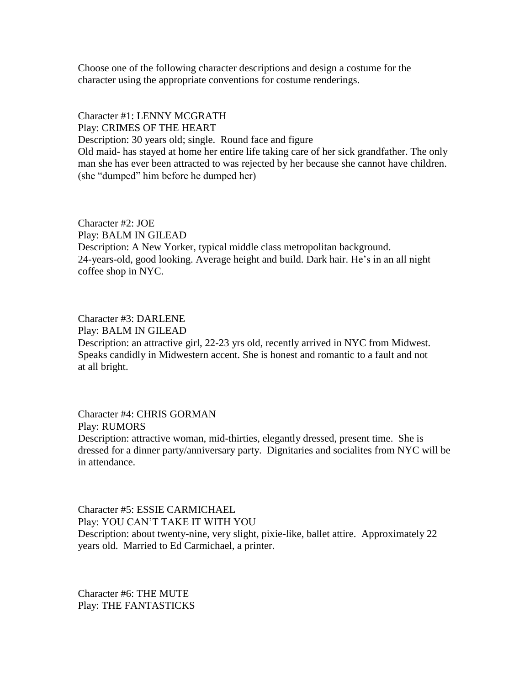Choose one of the following character descriptions and design a costume for the character using the appropriate conventions for costume renderings.

## Character #1: LENNY MCGRATH Play: CRIMES OF THE HEART

Description: 30 years old; single. Round face and figure Old maid- has stayed at home her entire life taking care of her sick grandfather. The only man she has ever been attracted to was rejected by her because she cannot have children.

(she "dumped" him before he dumped her)

Character #2: JOE Play: BALM IN GILEAD Description: A New Yorker, typical middle class metropolitan background. 24-years-old, good looking. Average height and build. Dark hair. He's in an all night coffee shop in NYC.

Character #3: DARLENE Play: BALM IN GILEAD Description: an attractive girl, 22-23 yrs old, recently arrived in NYC from Midwest. Speaks candidly in Midwestern accent. She is honest and romantic to a fault and not at all bright.

Character #4: CHRIS GORMAN Play: RUMORS Description: attractive woman, mid-thirties, elegantly dressed, present time. She is dressed for a dinner party/anniversary party. Dignitaries and socialites from NYC will be in attendance.

Character #5: ESSIE CARMICHAEL Play: YOU CAN'T TAKE IT WITH YOU Description: about twenty-nine, very slight, pixie-like, ballet attire. Approximately 22 years old. Married to Ed Carmichael, a printer.

Character #6: THE MUTE Play: THE FANTASTICKS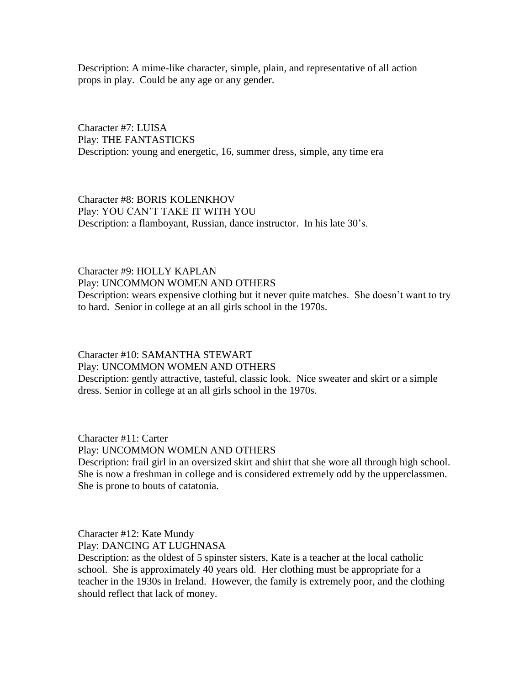Description: A mime-like character, simple, plain, and representative of all action props in play. Could be any age or any gender.

Character #7: LUISA Play: THE FANTASTICKS Description: young and energetic, 16, summer dress, simple, any time era

Character #8: BORIS KOLENKHOV Play: YOU CAN'T TAKE IT WITH YOU Description: a flamboyant, Russian, dance instructor. In his late 30's.

## Character #9: HOLLY KAPLAN

Play: UNCOMMON WOMEN AND OTHERS

Description: wears expensive clothing but it never quite matches. She doesn't want to try to hard. Senior in college at an all girls school in the 1970s.

## Character #10: SAMANTHA STEWART Play: UNCOMMON WOMEN AND OTHERS

Description: gently attractive, tasteful, classic look. Nice sweater and skirt or a simple dress. Senior in college at an all girls school in the 1970s.

Character #11: Carter Play: UNCOMMON WOMEN AND OTHERS

Description: frail girl in an oversized skirt and shirt that she wore all through high school. She is now a freshman in college and is considered extremely odd by the upperclassmen. She is prone to bouts of catatonia.

Character #12: Kate Mundy Play: DANCING AT LUGHNASA

Description: as the oldest of 5 spinster sisters, Kate is a teacher at the local catholic school. She is approximately 40 years old. Her clothing must be appropriate for a teacher in the 1930s in Ireland. However, the family is extremely poor, and the clothing should reflect that lack of money.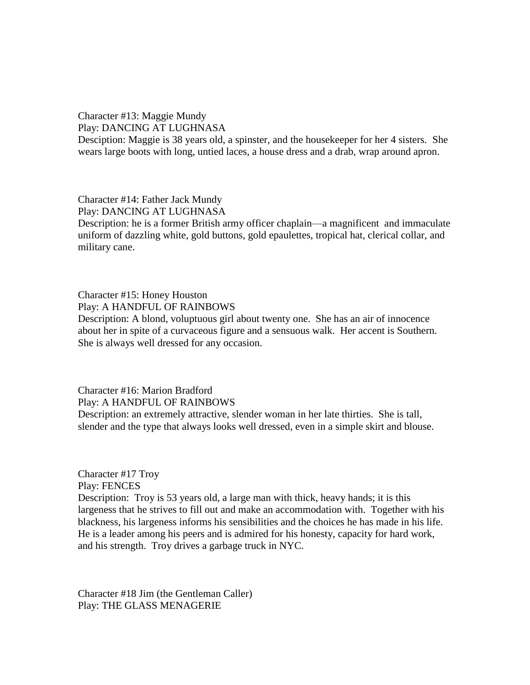Character #13: Maggie Mundy Play: DANCING AT LUGHNASA

Desciption: Maggie is 38 years old, a spinster, and the housekeeper for her 4 sisters. She wears large boots with long, untied laces, a house dress and a drab, wrap around apron.

Character #14: Father Jack Mundy Play: DANCING AT LUGHNASA Description: he is a former British army officer chaplain—a magnificent and immaculate uniform of dazzling white, gold buttons, gold epaulettes, tropical hat, clerical collar, and military cane.

Character #15: Honey Houston Play: A HANDFUL OF RAINBOWS Description: A blond, voluptuous girl about twenty one. She has an air of innocence about her in spite of a curvaceous figure and a sensuous walk. Her accent is Southern. She is always well dressed for any occasion.

Character #16: Marion Bradford Play: A HANDFUL OF RAINBOWS Description: an extremely attractive, slender woman in her late thirties. She is tall, slender and the type that always looks well dressed, even in a simple skirt and blouse.

Character #17 Troy Play: FENCES Description: Troy is 53 years old, a large man with thick, heavy hands; it is this largeness that he strives to fill out and make an accommodation with. Together with his blackness, his largeness informs his sensibilities and the choices he has made in his life. He is a leader among his peers and is admired for his honesty, capacity for hard work, and his strength. Troy drives a garbage truck in NYC.

Character #18 Jim (the Gentleman Caller) Play: THE GLASS MENAGERIE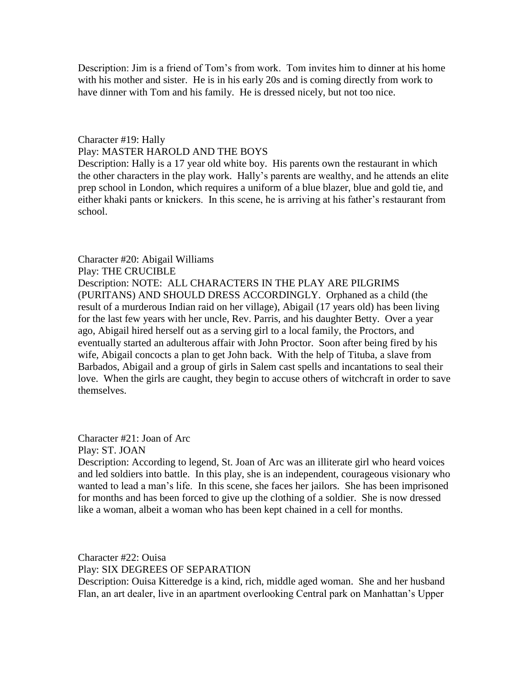Description: Jim is a friend of Tom's from work. Tom invites him to dinner at his home with his mother and sister. He is in his early 20s and is coming directly from work to have dinner with Tom and his family. He is dressed nicely, but not too nice.

## Character #19: Hally Play: MASTER HAROLD AND THE BOYS

Description: Hally is a 17 year old white boy. His parents own the restaurant in which the other characters in the play work. Hally's parents are wealthy, and he attends an elite prep school in London, which requires a uniform of a blue blazer, blue and gold tie, and either khaki pants or knickers. In this scene, he is arriving at his father's restaurant from school.

Character #20: Abigail Williams Play: THE CRUCIBLE Description: NOTE: ALL CHARACTERS IN THE PLAY ARE PILGRIMS (PURITANS) AND SHOULD DRESS ACCORDINGLY. Orphaned as a child (the result of a murderous Indian raid on her village), Abigail (17 years old) has been living for the last few years with her uncle, Rev. Parris, and his daughter Betty. Over a year ago, Abigail hired herself out as a serving girl to a local family, the Proctors, and eventually started an adulterous affair with John Proctor. Soon after being fired by his wife, Abigail concocts a plan to get John back. With the help of Tituba, a slave from Barbados, Abigail and a group of girls in Salem cast spells and incantations to seal their love. When the girls are caught, they begin to accuse others of witchcraft in order to save themselves.

Character #21: Joan of Arc

Play: ST. JOAN

Description: According to legend, St. Joan of Arc was an illiterate girl who heard voices and led soldiers into battle. In this play, she is an independent, courageous visionary who wanted to lead a man's life. In this scene, she faces her jailors. She has been imprisoned for months and has been forced to give up the clothing of a soldier. She is now dressed like a woman, albeit a woman who has been kept chained in a cell for months.

Character #22: Ouisa Play: SIX DEGREES OF SEPARATION Description: Ouisa Kitteredge is a kind, rich, middle aged woman. She and her husband Flan, an art dealer, live in an apartment overlooking Central park on Manhattan's Upper